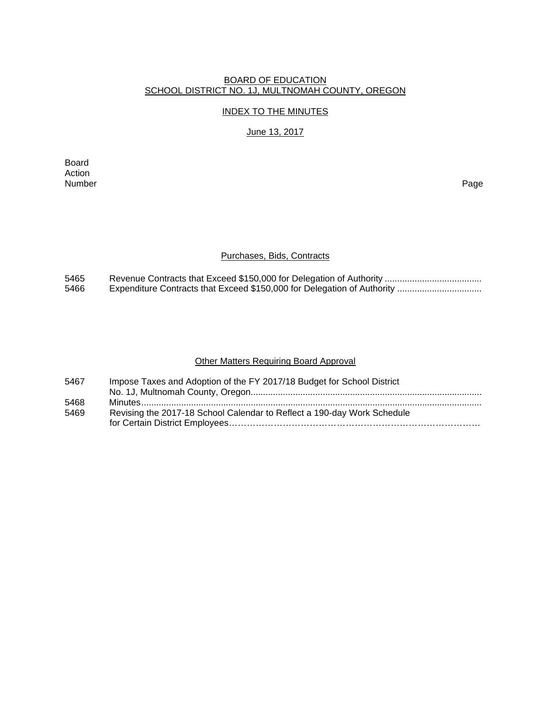### BOARD OF EDUCATION SCHOOL DISTRICT NO. 1J, MULTNOMAH COUNTY, OREGON

#### INDEX TO THE MINUTES

## June 13, 2017

Board Action<br>Number Number Page

#### Purchases, Bids, Contracts

5465 Revenue Contracts that Exceed \$150,000 for Delegation of Authority ....................................... 5466 Expenditure Contracts that Exceed \$150,000 for Delegation of Authority ..................................

### Other Matters Requiring Board Approval

| 5467 | Impose Taxes and Adoption of the FY 2017/18 Budget for School District  |
|------|-------------------------------------------------------------------------|
|      |                                                                         |
| 5468 |                                                                         |
| 5469 | Revising the 2017-18 School Calendar to Reflect a 190-day Work Schedule |
|      |                                                                         |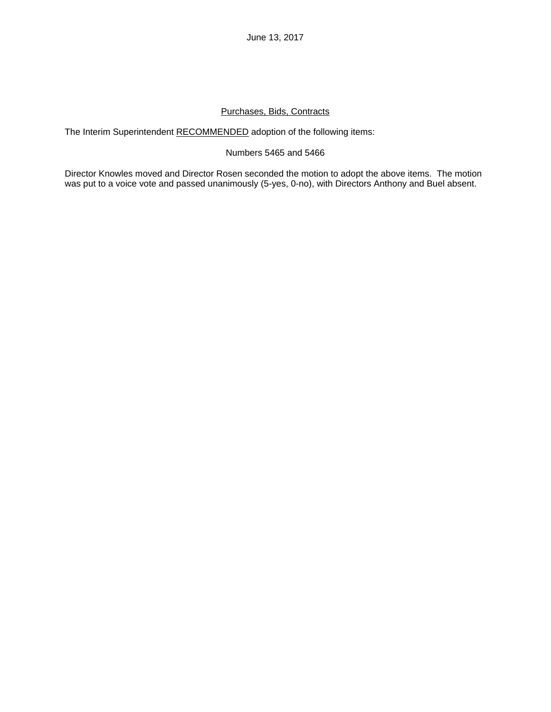# Purchases, Bids, Contracts

The Interim Superintendent RECOMMENDED adoption of the following items:

## Numbers 5465 and 5466

Director Knowles moved and Director Rosen seconded the motion to adopt the above items. The motion was put to a voice vote and passed unanimously (5-yes, 0-no), with Directors Anthony and Buel absent.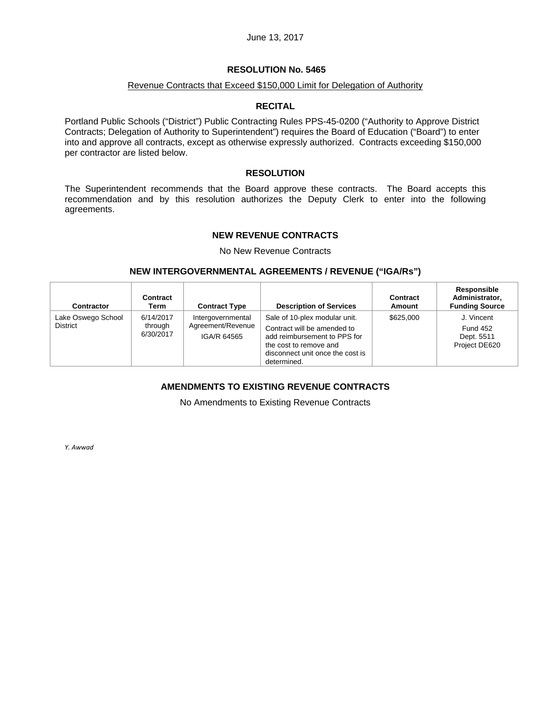#### **RESOLUTION No. 5465**

### Revenue Contracts that Exceed \$150,000 Limit for Delegation of Authority

#### **RECITAL**

Portland Public Schools ("District") Public Contracting Rules PPS-45-0200 ("Authority to Approve District Contracts; Delegation of Authority to Superintendent") requires the Board of Education ("Board") to enter into and approve all contracts, except as otherwise expressly authorized. Contracts exceeding \$150,000 per contractor are listed below.

### **RESOLUTION**

The Superintendent recommends that the Board approve these contracts. The Board accepts this recommendation and by this resolution authorizes the Deputy Clerk to enter into the following agreements.

### **NEW REVENUE CONTRACTS**

No New Revenue Contracts

#### **NEW INTERGOVERNMENTAL AGREEMENTS / REVENUE ("IGA/Rs")**

| <b>Contractor</b>                     | Contract<br>Term                  | <b>Contract Type</b>                                  | <b>Description of Services</b>                                                                                                                                            | Contract<br>Amount | Responsible<br>Administrator.<br><b>Funding Source</b>       |
|---------------------------------------|-----------------------------------|-------------------------------------------------------|---------------------------------------------------------------------------------------------------------------------------------------------------------------------------|--------------------|--------------------------------------------------------------|
| Lake Oswego School<br><b>District</b> | 6/14/2017<br>through<br>6/30/2017 | Intergovernmental<br>Agreement/Revenue<br>IGA/R 64565 | Sale of 10-plex modular unit.<br>Contract will be amended to<br>add reimbursement to PPS for<br>the cost to remove and<br>disconnect unit once the cost is<br>determined. | \$625,000          | J. Vincent<br><b>Fund 452</b><br>Dept. 5511<br>Project DE620 |

## **AMENDMENTS TO EXISTING REVENUE CONTRACTS**

No Amendments to Existing Revenue Contracts

*Y. Awwad*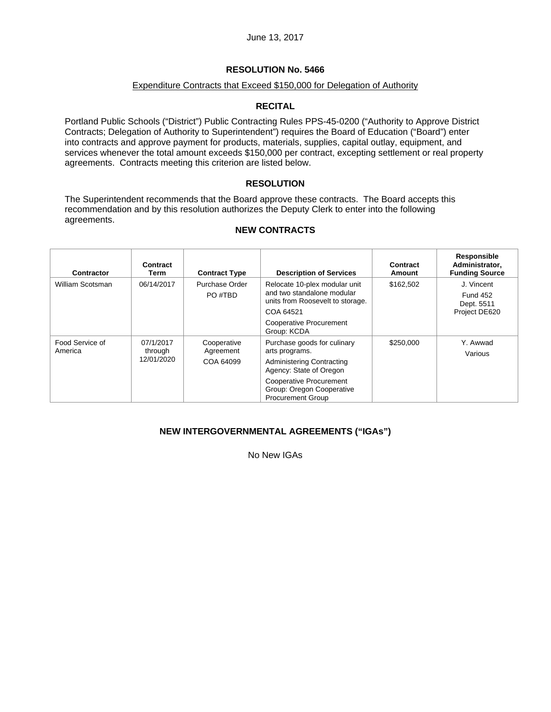# **RESOLUTION No. 5466**

### Expenditure Contracts that Exceed \$150,000 for Delegation of Authority

## **RECITAL**

Portland Public Schools ("District") Public Contracting Rules PPS-45-0200 ("Authority to Approve District Contracts; Delegation of Authority to Superintendent") requires the Board of Education ("Board") enter into contracts and approve payment for products, materials, supplies, capital outlay, equipment, and services whenever the total amount exceeds \$150,000 per contract, excepting settlement or real property agreements. Contracts meeting this criterion are listed below.

## **RESOLUTION**

The Superintendent recommends that the Board approve these contracts. The Board accepts this recommendation and by this resolution authorizes the Deputy Clerk to enter into the following agreements.

| <b>Description of Services</b><br><b>Contract Type</b>                                                                                                                                                               | Contract<br>Amount       | Responsible<br>Administrator.<br><b>Funding Source</b>       |
|----------------------------------------------------------------------------------------------------------------------------------------------------------------------------------------------------------------------|--------------------------|--------------------------------------------------------------|
| Purchase Order<br>Relocate 10-plex modular unit<br>and two standalone modular<br>PO #TRD<br>units from Roosevelt to storage.<br>COA 64521<br>Cooperative Procurement<br>Group: KCDA                                  | \$162.502                | J. Vincent<br><b>Fund 452</b><br>Dept. 5511<br>Project DE620 |
| Purchase goods for culinary<br>Cooperative<br>Agreement<br>arts programs.<br>COA 64099<br><b>Administering Contracting</b><br>Agency: State of Oregon<br><b>Cooperative Procurement</b><br>Group: Oregon Cooperative | \$250,000                | Y. Awwad<br>Various                                          |
|                                                                                                                                                                                                                      | <b>Procurement Group</b> |                                                              |

### **NEW CONTRACTS**

## **NEW INTERGOVERNMENTAL AGREEMENTS ("IGAs")**

No New IGAs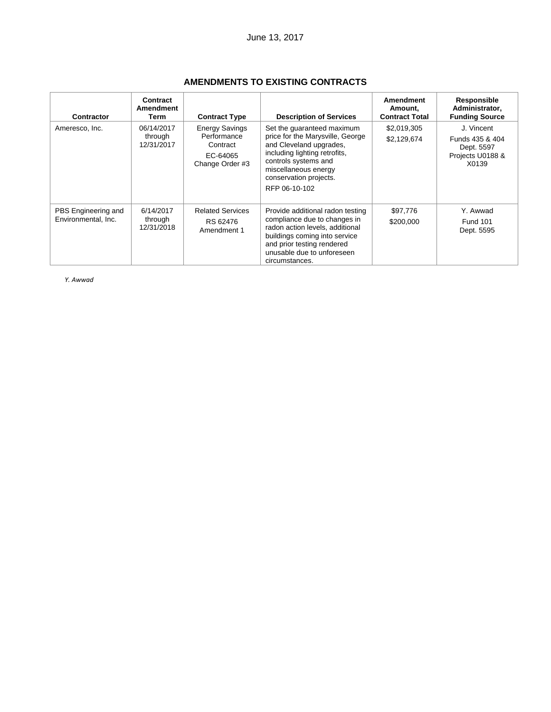| <b>Contractor</b>                          | Contract<br>Amendment<br>Term       | <b>Contract Type</b>                                                            | <b>Description of Services</b>                                                                                                                                                                                        | <b>Amendment</b><br>Amount,<br><b>Contract Total</b> | Responsible<br>Administrator,<br><b>Funding Source</b>                   |
|--------------------------------------------|-------------------------------------|---------------------------------------------------------------------------------|-----------------------------------------------------------------------------------------------------------------------------------------------------------------------------------------------------------------------|------------------------------------------------------|--------------------------------------------------------------------------|
| Ameresco, Inc.                             | 06/14/2017<br>through<br>12/31/2017 | <b>Energy Savings</b><br>Performance<br>Contract<br>EC-64065<br>Change Order #3 | Set the quaranteed maximum<br>price for the Marysville, George<br>and Cleveland upgrades,<br>including lighting retrofits,<br>controls systems and<br>miscellaneous energy<br>conservation projects.<br>RFP 06-10-102 | \$2,019,305<br>\$2,129,674                           | J. Vincent<br>Funds 435 & 404<br>Dept. 5597<br>Projects U0188 &<br>X0139 |
| PBS Engineering and<br>Environmental, Inc. | 6/14/2017<br>through<br>12/31/2018  | <b>Related Services</b><br>RS 62476<br>Amendment 1                              | Provide additional radon testing<br>compliance due to changes in<br>radon action levels, additional<br>buildings coming into service<br>and prior testing rendered<br>unusable due to unforeseen<br>circumstances.    | \$97,776<br>\$200,000                                | Y. Awwad<br>Fund 101<br>Dept. 5595                                       |

# **AMENDMENTS TO EXISTING CONTRACTS**

*Y. Awwad*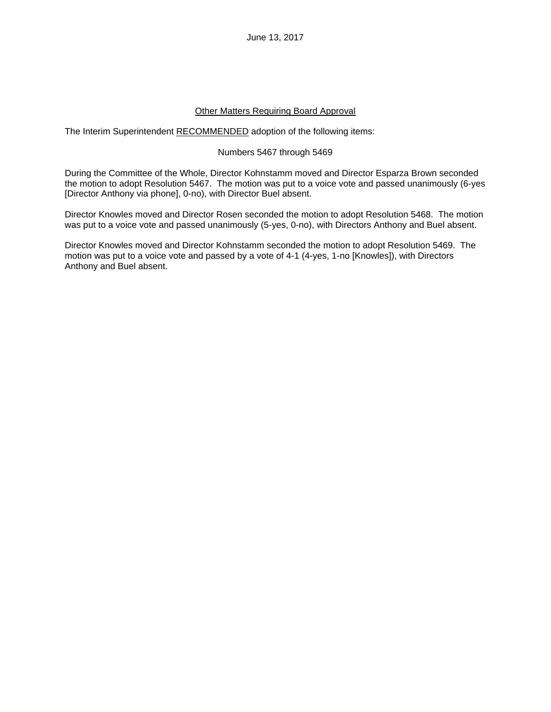### Other Matters Requiring Board Approval

The Interim Superintendent RECOMMENDED adoption of the following items:

#### Numbers 5467 through 5469

During the Committee of the Whole, Director Kohnstamm moved and Director Esparza Brown seconded the motion to adopt Resolution 5467. The motion was put to a voice vote and passed unanimously (6-yes [Director Anthony via phone], 0-no), with Director Buel absent.

Director Knowles moved and Director Rosen seconded the motion to adopt Resolution 5468. The motion was put to a voice vote and passed unanimously (5-yes, 0-no), with Directors Anthony and Buel absent.

Director Knowles moved and Director Kohnstamm seconded the motion to adopt Resolution 5469. The motion was put to a voice vote and passed by a vote of 4-1 (4-yes, 1-no [Knowles]), with Directors Anthony and Buel absent.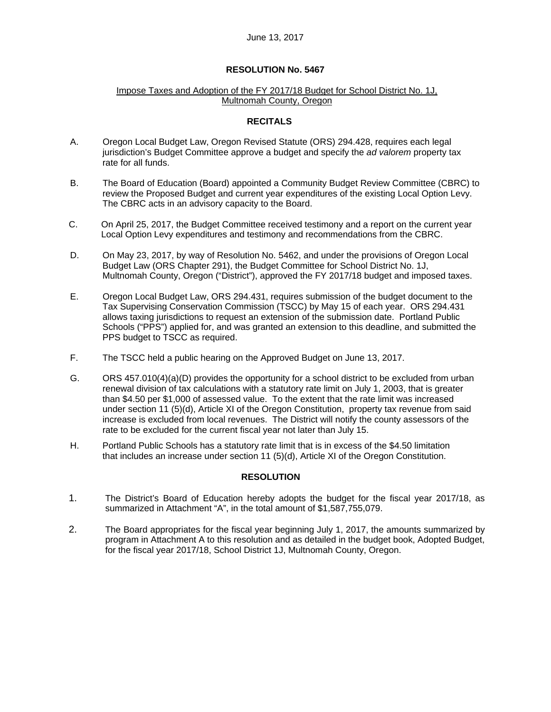## **RESOLUTION No. 5467**

### Impose Taxes and Adoption of the FY 2017/18 Budget for School District No. 1J, Multnomah County, Oregon

## **RECITALS**

- A. Oregon Local Budget Law, Oregon Revised Statute (ORS) 294.428, requires each legal jurisdiction's Budget Committee approve a budget and specify the *ad valorem* property tax rate for all funds.
- B. The Board of Education (Board) appointed a Community Budget Review Committee (CBRC) to review the Proposed Budget and current year expenditures of the existing Local Option Levy. The CBRC acts in an advisory capacity to the Board.
- C. On April 25, 2017, the Budget Committee received testimony and a report on the current year Local Option Levy expenditures and testimony and recommendations from the CBRC.
- D. On May 23, 2017, by way of Resolution No. 5462, and under the provisions of Oregon Local Budget Law (ORS Chapter 291), the Budget Committee for School District No. 1J, Multnomah County, Oregon ("District"), approved the FY 2017/18 budget and imposed taxes.
- E. Oregon Local Budget Law, ORS 294.431, requires submission of the budget document to the Tax Supervising Conservation Commission (TSCC) by May 15 of each year. ORS 294.431 allows taxing jurisdictions to request an extension of the submission date. Portland Public Schools ("PPS") applied for, and was granted an extension to this deadline, and submitted the PPS budget to TSCC as required.
- F. The TSCC held a public hearing on the Approved Budget on June 13, 2017.
- G. ORS 457.010(4)(a)(D) provides the opportunity for a school district to be excluded from urban renewal division of tax calculations with a statutory rate limit on July 1, 2003, that is greater than \$4.50 per \$1,000 of assessed value. To the extent that the rate limit was increased under section 11 (5)(d), Article XI of the Oregon Constitution, property tax revenue from said increase is excluded from local revenues. The District will notify the county assessors of the rate to be excluded for the current fiscal year not later than July 15.
- H. Portland Public Schools has a statutory rate limit that is in excess of the \$4.50 limitation that includes an increase under section 11 (5)(d), Article XI of the Oregon Constitution.

## **RESOLUTION**

- 1. The District's Board of Education hereby adopts the budget for the fiscal year 2017/18, as summarized in Attachment "A", in the total amount of \$1,587,755,079.
- 2. The Board appropriates for the fiscal year beginning July 1, 2017, the amounts summarized by program in Attachment A to this resolution and as detailed in the budget book, Adopted Budget, for the fiscal year 2017/18, School District 1J, Multnomah County, Oregon.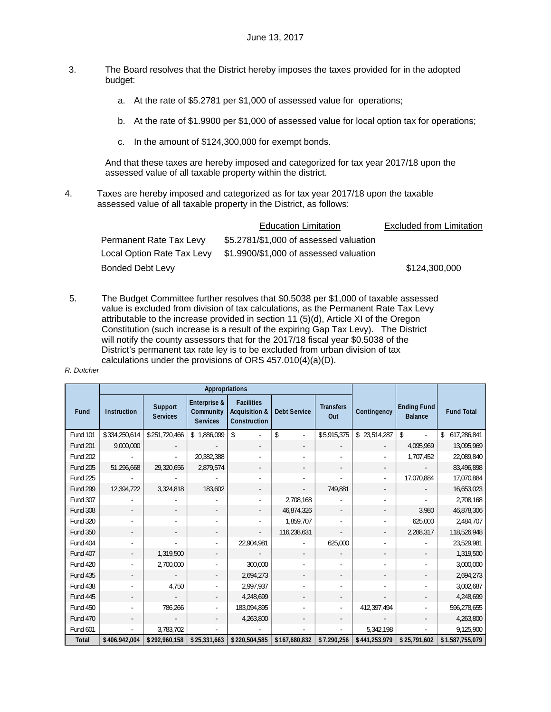- 3. The Board resolves that the District hereby imposes the taxes provided for in the adopted budget:
	- a. At the rate of \$5.2781 per \$1,000 of assessed value for operations;
	- b. At the rate of \$1.9900 per \$1,000 of assessed value for local option tax for operations;
	- c. In the amount of \$124,300,000 for exempt bonds.

And that these taxes are hereby imposed and categorized for tax year 2017/18 upon the assessed value of all taxable property within the district.

4. Taxes are hereby imposed and categorized as for tax year 2017/18 upon the taxable assessed value of all taxable property in the District, as follows:

|                            | <b>Education Limitation</b>            | <b>Excluded from Limitation</b> |
|----------------------------|----------------------------------------|---------------------------------|
| Permanent Rate Tax Levy    | \$5.2781/\$1,000 of assessed valuation |                                 |
| Local Option Rate Tax Levy | \$1.9900/\$1,000 of assessed valuation |                                 |
| Bonded Debt Levy           |                                        | \$124,300,000                   |

5. The Budget Committee further resolves that \$0.5038 per \$1,000 of taxable assessed value is excluded from division of tax calculations, as the Permanent Rate Tax Levy attributable to the increase provided in section 11 (5)(d), Article XI of the Oregon Constitution (such increase is a result of the expiring Gap Tax Levy). The District will notify the county assessors that for the 2017/18 fiscal year \$0.5038 of the District's permanent tax rate ley is to be excluded from urban division of tax calculations under the provisions of ORS 457.010(4)(a)(D).

#### *R. Dutcher*

|                 | Appropriations           |                                   |                                              |                                                               |                          |                          |               |                               |                   |
|-----------------|--------------------------|-----------------------------------|----------------------------------------------|---------------------------------------------------------------|--------------------------|--------------------------|---------------|-------------------------------|-------------------|
| Fund            | <b>Instruction</b>       | <b>Support</b><br><b>Services</b> | Enterprise &<br>Community<br><b>Services</b> | <b>Facilities</b><br><b>Acquisition &amp;</b><br>Construction | <b>Debt Service</b>      | <b>Transfers</b><br>Out  | Contingency   | Ending Fund<br><b>Balance</b> | <b>Fund Total</b> |
| <b>Fund 101</b> | \$334,250,614            | \$251,720,466                     | \$1,886,099                                  | \$                                                            | \$<br>$\sim$             | \$5,915,375              | \$23,514,287  | $\mathbf{\hat{S}}$            | \$<br>617,286,841 |
| <b>Fund 201</b> | 9,000,000                |                                   |                                              |                                                               |                          |                          |               | 4,095,969                     | 13,095,969        |
| <b>Fund 202</b> |                          |                                   | 20,382,388                                   |                                                               |                          |                          |               | 1,707,452                     | 22,089,840        |
| <b>Fund 205</b> | 51,296,668               | 29,320,656                        | 2,879,574                                    |                                                               | $\overline{\phantom{a}}$ |                          |               |                               | 83,496,898        |
| <b>Fund 225</b> |                          |                                   |                                              |                                                               |                          |                          |               | 17,070,884                    | 17,070,884        |
| <b>Fund 299</b> | 12,394,722               | 3,324,818                         | 183,602                                      | $\overline{\phantom{a}}$                                      | $\overline{\phantom{a}}$ | 749.881                  |               |                               | 16,653,023        |
| <b>Fund 307</b> |                          |                                   |                                              |                                                               | 2,708,168                |                          |               |                               | 2,708,168         |
| <b>Fund 308</b> | $\overline{\phantom{a}}$ |                                   | $\sim$                                       | $\sim$                                                        | 46,874,326               | $\overline{\phantom{a}}$ |               | 3,980                         | 46,878,306        |
| <b>Fund 320</b> |                          |                                   |                                              |                                                               | 1,859,707                |                          |               | 625,000                       | 2,484,707         |
| <b>Fund 350</b> |                          |                                   |                                              |                                                               | 116,238,631              |                          |               | 2,288,317                     | 118,526,948       |
| <b>Fund 404</b> |                          |                                   |                                              | 22,904,981                                                    |                          | 625,000                  |               |                               | 23,529,981        |
| <b>Fund 407</b> |                          | 1,319,500                         |                                              |                                                               |                          |                          |               |                               | 1,319,500         |
| <b>Fund 420</b> |                          | 2,700,000                         |                                              | 300,000                                                       |                          |                          |               |                               | 3,000,000         |
| <b>Fund 435</b> |                          |                                   |                                              | 2,694,273                                                     |                          |                          |               |                               | 2,694,273         |
| <b>Fund 438</b> |                          | 4,750                             |                                              | 2,997,937                                                     |                          |                          |               |                               | 3,002,687         |
| <b>Fund 445</b> |                          |                                   |                                              | 4,248,699                                                     | $\overline{\phantom{a}}$ |                          |               | $\overline{\phantom{0}}$      | 4,248,699         |
| <b>Fund 450</b> |                          | 786,266                           |                                              | 183,094,895                                                   |                          |                          | 412,397,494   | ٠                             | 596,278,655       |
| <b>Fund 470</b> |                          |                                   |                                              | 4,263,800                                                     | $\overline{\phantom{a}}$ |                          |               | $\overline{\phantom{a}}$      | 4,263,800         |
| Fund 601        |                          | 3,783,702                         |                                              |                                                               |                          |                          | 5,342,198     |                               | 9,125,900         |
| <b>Total</b>    | \$406,942,004            | \$292,960,158                     | \$25,331,663                                 | \$220,504,585                                                 | \$167,680,832            | \$7,290,256              | \$441,253,979 | \$25,791,602                  | \$1,587,755,079   |